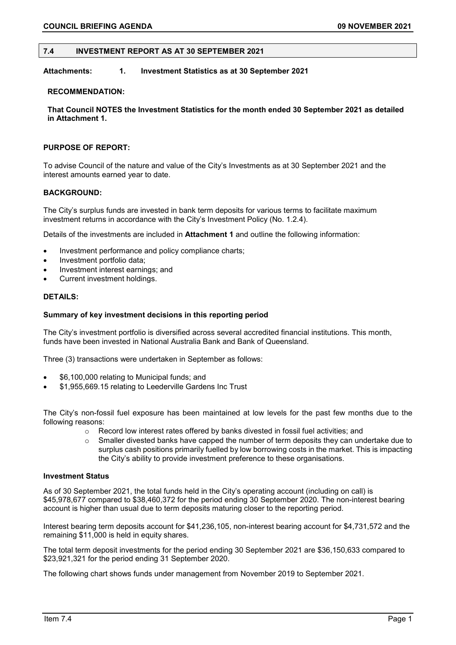## **7.4 INVESTMENT REPORT AS AT 30 SEPTEMBER 2021**

# **Attachments: 1. Investment Statistics as at 30 September 2021**

## **RECOMMENDATION:**

**That Council NOTES the Investment Statistics for the month ended 30 September 2021 as detailed in Attachment 1.**

# **PURPOSE OF REPORT:**

To advise Council of the nature and value of the City's Investments as at 30 September 2021 and the interest amounts earned year to date.

## **BACKGROUND:**

The City's surplus funds are invested in bank term deposits for various terms to facilitate maximum investment returns in accordance with the City's Investment Policy (No. 1.2.4).

Details of the investments are included in **Attachment 1** and outline the following information:

- Investment performance and policy compliance charts;
- Investment portfolio data;
- Investment interest earnings; and
- Current investment holdings.

## **DETAILS:**

#### **Summary of key investment decisions in this reporting period**

The City's investment portfolio is diversified across several accredited financial institutions. This month, funds have been invested in National Australia Bank and Bank of Queensland.

Three (3) transactions were undertaken in September as follows:

- \$6,100,000 relating to Municipal funds; and
- \$1,955,669.15 relating to Leederville Gardens Inc Trust

The City's non-fossil fuel exposure has been maintained at low levels for the past few months due to the following reasons:

- o Record low interest rates offered by banks divested in fossil fuel activities; and
- $\circ$  Smaller divested banks have capped the number of term deposits they can undertake due to surplus cash positions primarily fuelled by low borrowing costs in the market. This is impacting the City's ability to provide investment preference to these organisations.

#### **Investment Status**

As of 30 September 2021, the total funds held in the City's operating account (including on call) is \$45,978,677 compared to \$38,460,372 for the period ending 30 September 2020. The non-interest bearing account is higher than usual due to term deposits maturing closer to the reporting period.

Interest bearing term deposits account for \$41,236,105, non-interest bearing account for \$4,731,572 and the remaining \$11,000 is held in equity shares.

The total term deposit investments for the period ending 30 September 2021 are \$36,150,633 compared to \$23,921,321 for the period ending 31 September 2020.

The following chart shows funds under management from November 2019 to September 2021.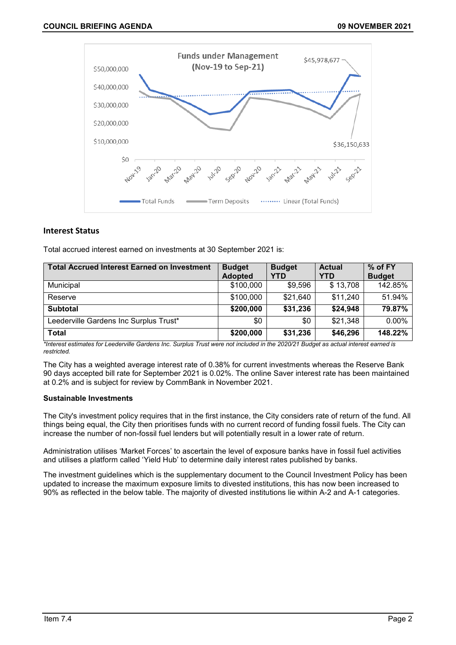

# **Interest Status**

Total accrued interest earned on investments at 30 September 2021 is:

| <b>Total Accrued Interest Earned on Investment</b> | <b>Budget</b>  | <b>Budget</b> | <b>Actual</b> | % of FY       |
|----------------------------------------------------|----------------|---------------|---------------|---------------|
|                                                    | <b>Adopted</b> | YTD           | <b>YTD</b>    | <b>Budget</b> |
| Municipal                                          | \$100,000      | \$9,596       | \$13,708      | 142.85%       |
| Reserve                                            | \$100,000      | \$21,640      | \$11,240      | 51.94%        |
| <b>Subtotal</b>                                    | \$200,000      | \$31,236      | \$24,948      | 79.87%        |
| Leederville Gardens Inc Surplus Trust*             | \$0            | \$0           | \$21,348      | $0.00\%$      |
| <b>Total</b>                                       | \$200,000      | \$31,236      | \$46,296      | 148.22%       |

*\*Interest estimates for Leederville Gardens Inc. Surplus Trust were not included in the 2020/21 Budget as actual interest earned is restricted.*

The City has a weighted average interest rate of 0.38% for current investments whereas the Reserve Bank 90 days accepted bill rate for September 2021 is 0.02%. The online Saver interest rate has been maintained at 0.2% and is subject for review by CommBank in November 2021.

## **Sustainable Investments**

The City's investment policy requires that in the first instance, the City considers rate of return of the fund. All things being equal, the City then prioritises funds with no current record of funding fossil fuels. The City can increase the number of non-fossil fuel lenders but will potentially result in a lower rate of return.

Administration utilises 'Market Forces' to ascertain the level of exposure banks have in fossil fuel activities and utilises a platform called 'Yield Hub' to determine daily interest rates published by banks.

The investment guidelines which is the supplementary document to the Council Investment Policy has been updated to increase the maximum exposure limits to divested institutions, this has now been increased to 90% as reflected in the below table. The majority of divested institutions lie within A-2 and A-1 categories.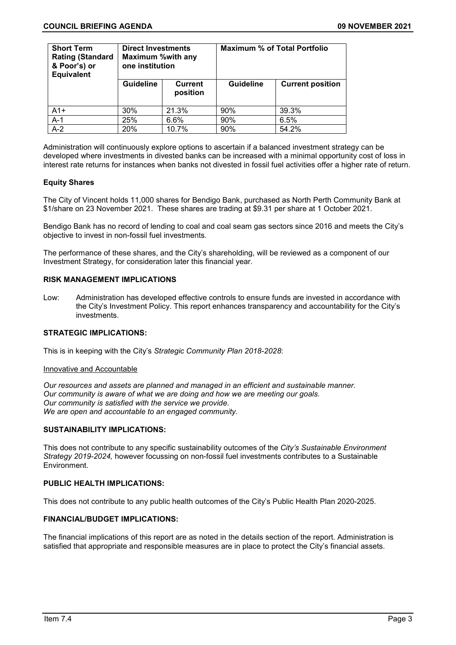| <b>Short Term</b><br><b>Rating (Standard</b><br>& Poor's) or<br><b>Equivalent</b> | <b>Direct Investments</b><br><b>Maximum %with any</b><br>one institution |                            | <b>Maximum % of Total Portfolio</b> |                         |  |
|-----------------------------------------------------------------------------------|--------------------------------------------------------------------------|----------------------------|-------------------------------------|-------------------------|--|
|                                                                                   | <b>Guideline</b>                                                         | <b>Current</b><br>position | <b>Guideline</b>                    | <b>Current position</b> |  |
| $A1+$                                                                             | 30%                                                                      | 21.3%                      | 90%                                 | 39.3%                   |  |
| $A-1$                                                                             | 25%                                                                      | 6.6%                       | 90%                                 | 6.5%                    |  |
| $A-2$                                                                             | 20%                                                                      | 10.7%                      | 90%                                 | 54.2%                   |  |

Administration will continuously explore options to ascertain if a balanced investment strategy can be developed where investments in divested banks can be increased with a minimal opportunity cost of loss in interest rate returns for instances when banks not divested in fossil fuel activities offer a higher rate of return.

# **Equity Shares**

The City of Vincent holds 11,000 shares for Bendigo Bank, purchased as North Perth Community Bank at \$1/share on 23 November 2021. These shares are trading at \$9.31 per share at 1 October 2021.

Bendigo Bank has no record of lending to coal and coal seam gas sectors since 2016 and meets the City's objective to invest in non-fossil fuel investments.

The performance of these shares, and the City's shareholding, will be reviewed as a component of our Investment Strategy, for consideration later this financial year.

#### **RISK MANAGEMENT IMPLICATIONS**

Low: Administration has developed effective controls to ensure funds are invested in accordance with the City's Investment Policy. This report enhances transparency and accountability for the City's investments.

#### **STRATEGIC IMPLICATIONS:**

This is in keeping with the City's *Strategic Community Plan 2018-2028*:

#### Innovative and Accountable

*Our resources and assets are planned and managed in an efficient and sustainable manner. Our community is aware of what we are doing and how we are meeting our goals. Our community is satisfied with the service we provide. We are open and accountable to an engaged community.*

## **SUSTAINABILITY IMPLICATIONS:**

This does not contribute to any specific sustainability outcomes of the *City's Sustainable Environment Strategy 2019-2024,* however focussing on non-fossil fuel investments contributes to a Sustainable Environment.

# **PUBLIC HEALTH IMPLICATIONS:**

This does not contribute to any public health outcomes of the City's Public Health Plan 2020-2025.

# **FINANCIAL/BUDGET IMPLICATIONS:**

The financial implications of this report are as noted in the details section of the report. Administration is satisfied that appropriate and responsible measures are in place to protect the City's financial assets.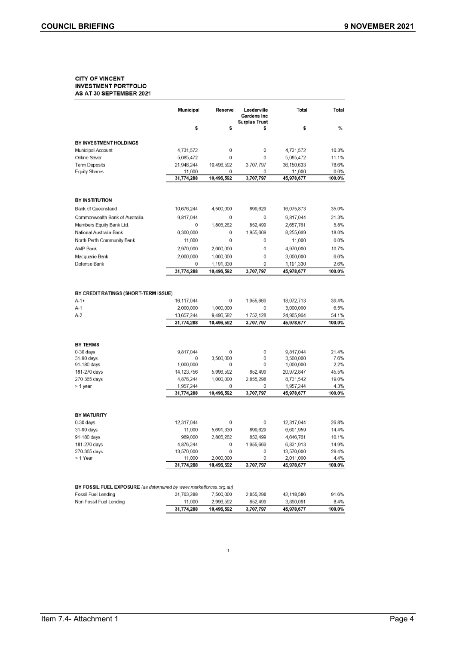#### **CITY OF VINCENT INVESTMENT PORTFOLIO** AS AT 30 SEPTEMBER 2021

|                                                                    | Municipal                                           | Reserve                                   | Leederville<br><b>Gardens Inc</b><br><b>Surplus Trust</b> | Total                                               | Total                            |
|--------------------------------------------------------------------|-----------------------------------------------------|-------------------------------------------|-----------------------------------------------------------|-----------------------------------------------------|----------------------------------|
|                                                                    | \$                                                  | \$                                        | \$                                                        | \$                                                  | %                                |
| BY INVESTMENT HOLDINGS                                             |                                                     |                                           |                                                           |                                                     |                                  |
| <b>Municipal Account</b>                                           | 4,731,572                                           | 0                                         | 0                                                         | 4,731,572                                           | 10.3%                            |
| Online Saver                                                       | 5,085,472                                           | $\mathbf 0$                               | 0                                                         | 5,085,472                                           | 11.1%                            |
| <b>Term Deposits</b>                                               | 21,946,244                                          | 10,496,592                                | 3,707,797                                                 | 36,150,633                                          | 78.6%                            |
| <b>Equity Shares</b>                                               | 11,000                                              | 0                                         | 0                                                         | 11,000                                              | $0.0\%$                          |
|                                                                    | 31,774,288                                          | 10,496,592                                | 3,707,797                                                 | 45,978,677                                          | 100.0%                           |
| <b>BY INSTITUTION</b>                                              |                                                     |                                           |                                                           |                                                     |                                  |
| <b>Bank of Queensland</b>                                          | 10,676,244                                          | 4,500,000                                 | 899,629                                                   | 16,075,873                                          | 35.0%                            |
|                                                                    |                                                     |                                           |                                                           |                                                     |                                  |
| Commonwealth Bank of Australia                                     | 9,817,044                                           | 0                                         | 0                                                         | 9,817,044                                           | 21.3%                            |
| Members Equity Bank Ltd.                                           | 0                                                   | 1,805,262                                 | 852,499                                                   | 2,657,761                                           | 5.8%                             |
| National Australia Bank                                            | 6,300,000                                           | 0                                         | 1,955,669                                                 | 8,255,669                                           | 18.0%                            |
| North Perth Community Bank                                         | 11,000                                              | 0                                         | 0                                                         | 11,000                                              | 0.0%                             |
| <b>AMP Bank</b>                                                    | 2,970,000                                           | 2,000,000                                 | 0                                                         | 4,970,000                                           | 10.7%                            |
| Macquarie Bank                                                     | 2.000.000                                           | 1.000.000                                 | 0                                                         | 3,000,000                                           | 6.6%                             |
| Defense Bank                                                       | $\bf{0}$                                            | 1,191,330                                 | 0                                                         | 1,191,330                                           | 2.6%                             |
|                                                                    | 31,774,288                                          | 10,496,592                                | 3,707,797                                                 | 45,978,677                                          | 100.0%                           |
| $A-1+$<br>A-1<br>$A-2$                                             | 16,117,044<br>2,000,000<br>13,657,244<br>31,774,288 | 0<br>1,000,000<br>9,496,592<br>10,496,592 | 1,955,669<br>0<br>1.752.128<br>3,707,797                  | 18,072,713<br>3,000,000<br>24,905,964<br>45,978,677 | 39.4%<br>6.5%<br>54.1%<br>100.0% |
| <b>BY TERMS</b>                                                    |                                                     |                                           |                                                           |                                                     |                                  |
| $0-30$ days                                                        | 9,817,044                                           | 0                                         | 0                                                         | 9,817,044                                           | 21.4%                            |
| 31-90 days                                                         | 0                                                   | 3,500,000                                 | 0                                                         | 3,500,000                                           | 7.6%                             |
| 91-180 days                                                        | 1,000,000                                           | 0                                         | 0                                                         | 1,000,000                                           | 2.2%                             |
| 181-270 days                                                       | 14, 123, 756                                        | 5,996,592                                 | 852,499                                                   | 20,972,847                                          | 45.5%                            |
| 270-365 days                                                       | 4,876,244                                           | 1.000,000                                 | 2,855,298                                                 | 8,731,542                                           | 19.0%                            |
| > 1 year                                                           | 1,957,244                                           | 0                                         | 0                                                         | 1,957,244                                           | 4.3%                             |
|                                                                    | 31,774,288                                          | 10,496,592                                | 3,707,797                                                 | 45,978,677                                          | 100.0%                           |
| <b>BY MATURITY</b>                                                 |                                                     |                                           |                                                           |                                                     |                                  |
| $0-30$ days                                                        | 12,317,044                                          | $\mathbf 0$                               | 0                                                         | 12,317,044                                          | 26.8%                            |
| 31-90 days                                                         | 11,000                                              | 5,691,330                                 | 899,629                                                   | 6,601,959                                           | 14.4%                            |
| 91-180 days                                                        | 989,000                                             | 2,805,262                                 | 852,499                                                   | 4,646,761                                           | 10.1%                            |
| 181-270 days                                                       | 4,876,244                                           | 0                                         | 1,955,669                                                 | 6,831,913                                           | 14.9%                            |
| 270-365 days                                                       | 13,570,000                                          | 0                                         | 0                                                         | 13,570,000                                          | 29.4%                            |
| > 1 Year                                                           | 11,000                                              | 2,000,000                                 | 0                                                         | 2,011,000                                           | 4.4%                             |
|                                                                    | 31,774,288                                          | 10,496,592                                | 3,707,797                                                 | 45,978,677                                          | 100.0%                           |
| BY FOSSIL FUEL EXPOSURE (as determined by www.marketforces.org.au) |                                                     |                                           |                                                           |                                                     |                                  |
| Fossil Fuel Lending                                                | 31,763,288                                          | 7,500,000                                 | 2,855,298                                                 | 42,118,586                                          | 91.6%                            |
| Non Fossil Fuel Lending                                            | 11,000                                              | 2,996,592                                 | 852,499                                                   | 3,860,091                                           | 8.4%                             |

#### Non Fossil Fuel Lending 11,000 2,996,592 852,499 3,707,797 45,978,677 31,774,288 10,496,592

 $\,$  1  $\,$ 

 $100.0\%$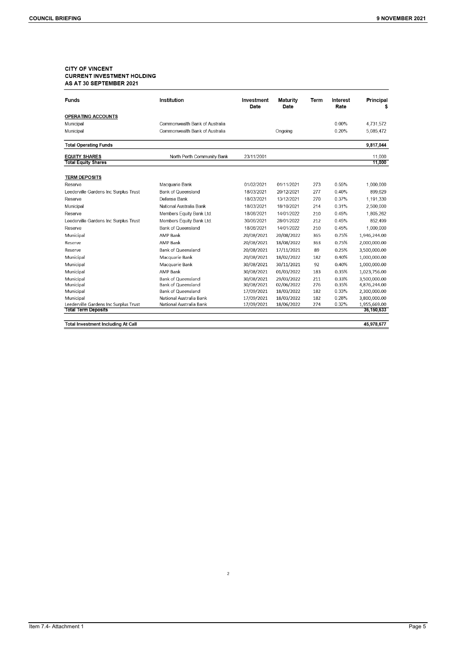# **CITY OF VINCENT CURRENT INVESTMENT HOLDING** AS AT 30 SEPTEMBER 2021

| <b>Funds</b>                          | Institution                    | Investment<br>Date | Maturity<br>Date | Term | Interest<br>Rate | Principal<br>\$ |
|---------------------------------------|--------------------------------|--------------------|------------------|------|------------------|-----------------|
| <b>OPERATING ACCOUNTS</b>             |                                |                    |                  |      |                  |                 |
| Municipal                             | Commonwealth Bank of Australia |                    |                  |      | $0.00\%$         | 4,731,572       |
| Municipal                             | Commonwealth Bank of Australia |                    | Ongoing          |      | 0.20%            | 5,085,472       |
| <b>Total Operating Funds</b>          |                                |                    |                  |      |                  | 9,817,044       |
| <b>EQUITY SHARES</b>                  | North Perth Community Bank     | 23/11/2001         |                  |      |                  | 11,000          |
| <b>Total Equity Shares</b>            |                                |                    |                  |      |                  | 11,000          |
| <b>TERM DEPOSITS</b>                  |                                |                    |                  |      |                  |                 |
| Reserve                               | Macquarie Bank                 | 01/02/2021         | 01/11/2021       | 273  | 0.55%            | 1,000,000       |
| Leederville Gardens Inc Surplus Trust | <b>Bank of Queensland</b>      | 18/03/2021         | 20/12/2021       | 277  | 0.40%            | 899,629         |
| Reserve                               | Defense Bank                   | 18/03/2021         | 13/12/2021       | 270  | 0.37%            | 1,191,330       |
| Municipal                             | National Australia Bank        | 18/03/2021         | 18/10/2021       | 214  | 0.31%            | 2,500,000       |
| Reserve                               | Members Equity Bank Ltd.       | 18/06/2021         | 14/01/2022       | 210  | 0.45%            | 1,805,262       |
| Leederville Gardens Inc Surplus Trust | Members Equity Bank Ltd.       | 30/06/2021         | 28/01/2022       | 212  | 0.45%            | 852,499         |
| Reserve                               | <b>Bank of Queensland</b>      | 18/06/2021         | 14/01/2022       | 210  | 0.45%            | 1,000,000       |
| Municipal                             | AMP Bank                       | 20/08/2021         | 20/08/2022       | 365  | 0.75%            | 1,946,244.00    |
| Reserve                               | <b>AMP Bank</b>                | 20/08/2021         | 18/08/2022       | 363  | 0.75%            | 2,000,000.00    |
| Reserve                               | <b>Bank of Queensland</b>      | 20/08/2021         | 17/11/2021       | 89   | 0.25%            | 3,500,000.00    |
| Municipal                             | Macquarie Bank                 | 20/08/2021         | 18/02/2022       | 182  | 0.40%            | 1,000,000.00    |
| Municipal                             | Macquarie Bank                 | 30/08/2021         | 30/11/2021       | 92   | 0.40%            | 1,000,000.00    |
| Municipal                             | <b>AMP Bank</b>                | 30/08/2021         | 01/03/2022       | 183  | 0.35%            | 1,023,756.00    |
| Municipal                             | <b>Bank of Queensland</b>      | 30/08/2021         | 29/03/2022       | 211  | 0.33%            | 3,500,000.00    |
| Municipal                             | <b>Bank of Queensland</b>      | 30/08/2021         | 02/06/2022       | 276  | 0.35%            | 4,876,244.00    |
| Municipal                             | <b>Bank of Queensland</b>      | 17/09/2021         | 18/03/2022       | 182  | 0.33%            | 2,300,000.00    |
| Municipal                             | National Australia Bank        | 17/09/2021         | 18/03/2022       | 182  | 0.28%            | 3,800,000.00    |
| Leederville Gardens Inc Surplus Trust | National Australia Bank        | 17/09/2021         | 18/06/2022       | 274  | 0.32%            | 1,955,669.00    |
| <b>Total Term Deposits</b>            |                                |                    |                  |      |                  | 36,150,633      |

**Total Investment Including At Call** 

45,978,677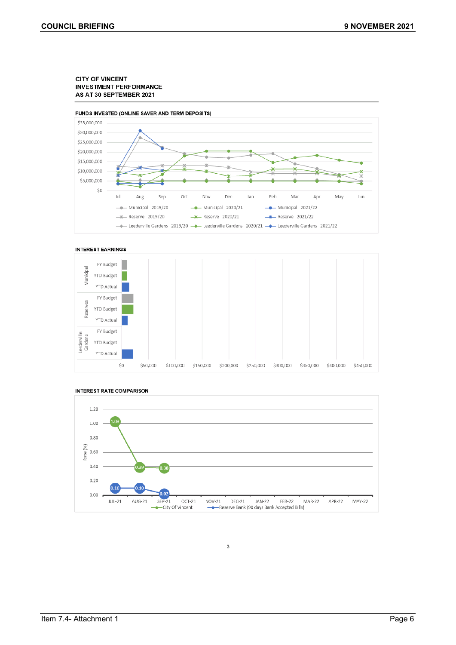#### **CITY OF VINCENT INVESTMENT PERFORMANCE** AS AT 30 SEPTEMBER 2021









**INTEREST RATE COMPARISON** 

3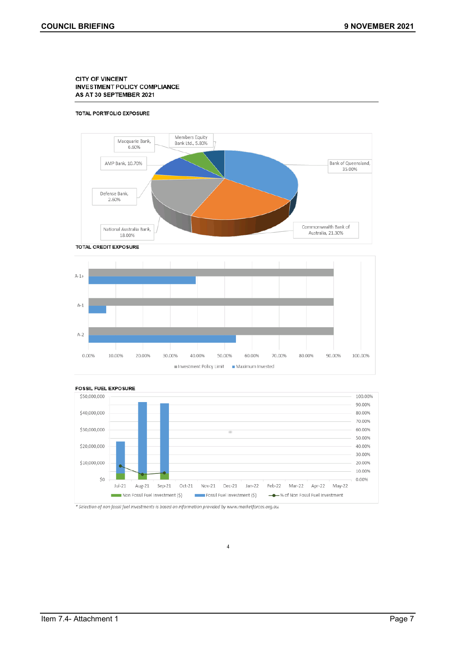#### **CITY OF VINCENT INVESTMENT POLICY COMPLIANCE** AS AT 30 SEPTEMBER 2021

#### TOTAL PORTFOLIO EXPOSURE







 $\overline{4}$ 

\* Selection of non fossil fuel investments is based on information provided by www.marketforces.org.au.

Item 7.4- Attachment 1 Page 7